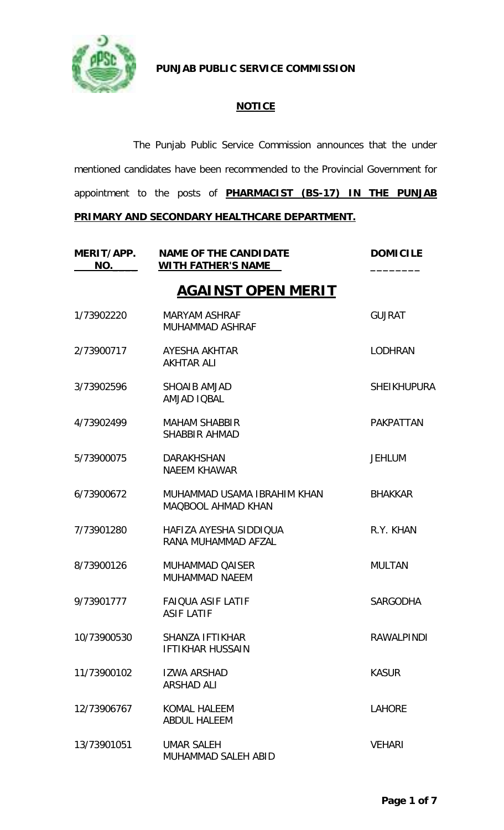

**PUNJAB PUBLIC SERVICE COMMISSION**

## **NOTICE**

The Punjab Public Service Commission announces that the under mentioned candidates have been recommended to the Provincial Government for appointment to the posts of **PHARMACIST (BS-17) IN THE PUNJAB PRIMARY AND SECONDARY HEALTHCARE DEPARTMENT.**

| MERIT/APP.<br>NO. | <b>NAME OF THE CANDIDATE</b><br><b>WITH FATHER'S NAME</b> | <b>DOMICILE</b>    |
|-------------------|-----------------------------------------------------------|--------------------|
|                   | <b>AGAINST OPEN MERIT</b>                                 |                    |
| 1/73902220        | <b>MARYAM ASHRAF</b><br><b>MUHAMMAD ASHRAF</b>            | <b>GUJRAT</b>      |
| 2/73900717        | AYESHA AKHTAR<br><b>AKHTAR ALI</b>                        | <b>LODHRAN</b>     |
| 3/73902596        | <b>SHOAIB AMJAD</b><br><b>AMJAD IQBAL</b>                 | <b>SHEIKHUPURA</b> |
| 4/73902499        | <b>MAHAM SHABBIR</b><br><b>SHABBIR AHMAD</b>              | <b>PAKPATTAN</b>   |
| 5/73900075        | <b>DARAKHSHAN</b><br><b>NAEEM KHAWAR</b>                  | <b>JEHLUM</b>      |
| 6/73900672        | MUHAMMAD USAMA IBRAHIM KHAN<br><b>MAQBOOL AHMAD KHAN</b>  | <b>BHAKKAR</b>     |
| 7/73901280        | HAFIZA AYESHA SIDDIQUA<br>RANA MUHAMMAD AFZAL             | R.Y. KHAN          |
| 8/73900126        | <b>MUHAMMAD QAISER</b><br>MUHAMMAD NAEEM                  | <b>MULTAN</b>      |
| 9/73901777        | <b>FAIQUA ASIF LATIF</b><br><b>ASIF LATIF</b>             | <b>SARGODHA</b>    |
| 10/73900530       | <b>SHANZA IFTIKHAR</b><br><b>IFTIKHAR HUSSAIN</b>         | <b>RAWALPINDI</b>  |
| 11/73900102       | <b>IZWA ARSHAD</b><br><b>ARSHAD ALI</b>                   | <b>KASUR</b>       |
| 12/73906767       | <b>KOMAL HALEEM</b><br><b>ABDUL HALEEM</b>                | <b>LAHORE</b>      |
| 13/73901051       | <b>UMAR SALEH</b><br>MUHAMMAD SALEH ABID                  | <b>VEHARI</b>      |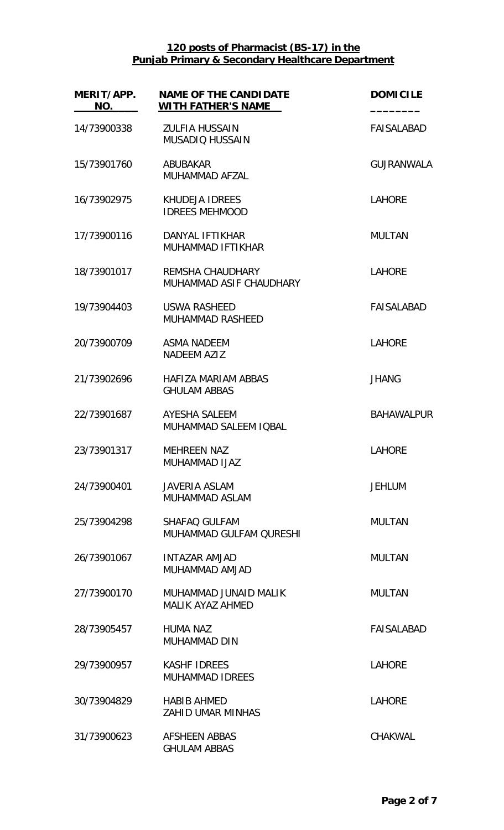| MERIT/APP.<br>NO. | <b>NAME OF THE CANDIDATE</b><br><b>WITH FATHER'S NAME</b> | <b>DOMICILE</b>   |
|-------------------|-----------------------------------------------------------|-------------------|
| 14/73900338       | <b>ZULFIA HUSSAIN</b><br><b>MUSADIQ HUSSAIN</b>           | <b>FAISALABAD</b> |
| 15/73901760       | <b>ABUBAKAR</b><br>MUHAMMAD AFZAL                         | <b>GUJRANWALA</b> |
| 16/73902975       | <b>KHUDEJA IDREES</b><br><b>IDREES MEHMOOD</b>            | <b>LAHORE</b>     |
| 17/73900116       | DANYAL IFTIKHAR<br><b>MUHAMMAD IFTIKHAR</b>               | <b>MULTAN</b>     |
| 18/73901017       | <b>REMSHA CHAUDHARY</b><br>MUHAMMAD ASIF CHAUDHARY        | <b>LAHORE</b>     |
| 19/73904403       | <b>USWA RASHEED</b><br><b>MUHAMMAD RASHEED</b>            | <b>FAISALABAD</b> |
| 20/73900709       | <b>ASMA NADEEM</b><br><b>NADEEM AZIZ</b>                  | <b>LAHORE</b>     |
| 21/73902696       | <b>HAFIZA MARIAM ABBAS</b><br><b>GHULAM ABBAS</b>         | <b>JHANG</b>      |
| 22/73901687       | AYESHA SALEEM<br>MUHAMMAD SALEEM IQBAL                    | <b>BAHAWALPUR</b> |
| 23/73901317       | <b>MEHREEN NAZ</b><br><b>MUHAMMAD IJAZ</b>                | <b>LAHORE</b>     |
| 24/73900401       | <b>JAVERIA ASLAM</b><br><b>MUHAMMAD ASLAM</b>             | <b>JEHLUM</b>     |
| 25/73904298       | SHAFAQ GULFAM<br>MUHAMMAD GULFAM OURESHI                  | <b>MULTAN</b>     |
| 26/73901067       | <b>INTAZAR AMJAD</b><br>MUHAMMAD AMJAD                    | <b>MULTAN</b>     |
| 27/73900170       | MUHAMMAD JUNAID MALIK<br><b>MALIK AYAZ AHMED</b>          | <b>MULTAN</b>     |
| 28/73905457       | <b>HUMA NAZ</b><br><b>MUHAMMAD DIN</b>                    | <b>FAISALABAD</b> |
| 29/73900957       | <b>KASHF IDREES</b><br><b>MUHAMMAD IDREES</b>             | <b>LAHORE</b>     |
| 30/73904829       | <b>HABIB AHMED</b><br><b>ZAHID UMAR MINHAS</b>            | <b>LAHORE</b>     |
| 31/73900623       | <b>AFSHEEN ABBAS</b><br><b>GHULAM ABBAS</b>               | <b>CHAKWAL</b>    |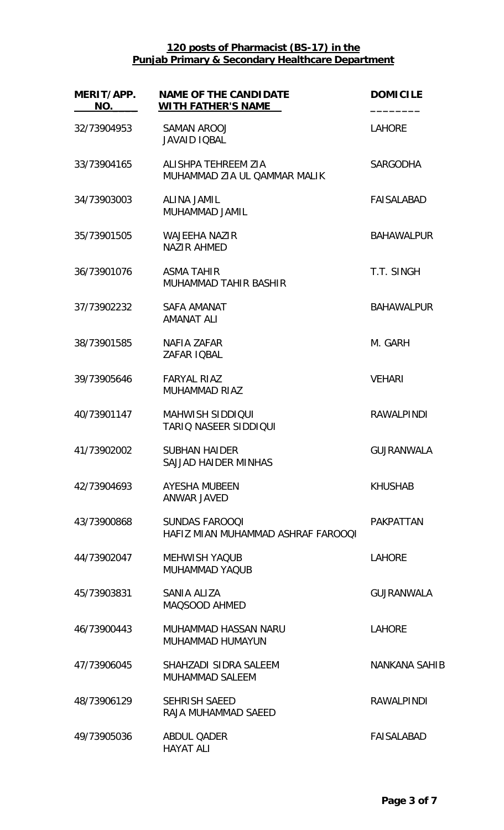| MERIT/APP.<br>NO. | <b>NAME OF THE CANDIDATE</b><br><b>WITH FATHER'S NAME</b>   | <b>DOMICILE</b>      |
|-------------------|-------------------------------------------------------------|----------------------|
| 32/73904953       | SAMAN AROOJ<br><b>JAVAID IOBAL</b>                          | <b>LAHORE</b>        |
| 33/73904165       | ALISHPA TEHREEM ZIA<br>MUHAMMAD ZIA UL QAMMAR MALIK         | <b>SARGODHA</b>      |
| 34/73903003       | <b>ALINA JAMIL</b><br>MUHAMMAD JAMIL                        | <b>FAISALABAD</b>    |
| 35/73901505       | <b>WAJEEHA NAZIR</b><br><b>NAZIR AHMED</b>                  | <b>BAHAWALPUR</b>    |
| 36/73901076       | <b>ASMA TAHIR</b><br>MUHAMMAD TAHIR BASHIR                  | T.T. SINGH           |
| 37/73902232       | SAFA AMANAT<br><b>AMANAT ALI</b>                            | <b>BAHAWALPUR</b>    |
| 38/73901585       | NAFIA ZAFAR<br>ZAFAR IQBAL                                  | M. GARH              |
| 39/73905646       | <b>FARYAL RIAZ</b><br>MUHAMMAD RIAZ                         | <b>VEHARI</b>        |
| 40/73901147       | <b>MAHWISH SIDDIOUI</b><br><b>TARIO NASEER SIDDIQUI</b>     | <b>RAWALPINDI</b>    |
| 41/73902002       | <b>SUBHAN HAIDER</b><br>SAJJAD HAIDER MINHAS                | <b>GUJRANWALA</b>    |
| 42/73904693       | AYESHA MUBEEN<br><b>ANWAR JAVED</b>                         | <b>KHUSHAB</b>       |
| 43/73900868       | <b>SUNDAS FAROOQI</b><br>HAFIZ MIAN MUHAMMAD ASHRAF FAROOQI | <b>PAKPATTAN</b>     |
| 44/73902047       | <b>MEHWISH YAQUB</b><br><b>MUHAMMAD YAQUB</b>               | <b>LAHORE</b>        |
| 45/73903831       | SANIA ALIZA<br>MAQSOOD AHMED                                | <b>GUJRANWALA</b>    |
| 46/73900443       | MUHAMMAD HASSAN NARU<br><b>MUHAMMAD HUMAYUN</b>             | <b>LAHORE</b>        |
| 47/73906045       | SHAHZADI SIDRA SALEEM<br><b>MUHAMMAD SALEEM</b>             | <b>NANKANA SAHIB</b> |
| 48/73906129       | <b>SEHRISH SAEED</b><br>RAJA MUHAMMAD SAEED                 | <b>RAWALPINDI</b>    |
| 49/73905036       | <b>ABDUL QADER</b><br><b>HAYAT ALI</b>                      | <b>FAISALABAD</b>    |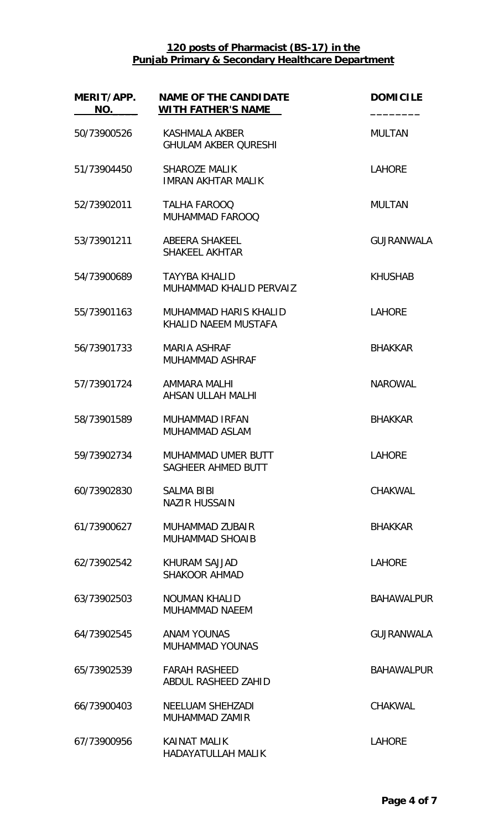| MERIT/APP.<br>NO. | <b>NAME OF THE CANDIDATE</b><br><b>WITH FATHER'S NAME</b> | <b>DOMICILE</b>   |
|-------------------|-----------------------------------------------------------|-------------------|
| 50/73900526       | <b>KASHMALA AKBER</b><br><b>GHULAM AKBER QURESHI</b>      | <b>MULTAN</b>     |
| 51/73904450       | <b>SHAROZE MALIK</b><br><b>IMRAN AKHTAR MALIK</b>         | <b>LAHORE</b>     |
| 52/73902011       | <b>TALHA FAROOQ</b><br>MUHAMMAD FAROOQ                    | <b>MULTAN</b>     |
| 53/73901211       | ABEERA SHAKEEL<br><b>SHAKEEL AKHTAR</b>                   | <b>GUJRANWALA</b> |
| 54/73900689       | <b>TAYYBA KHALID</b><br>MUHAMMAD KHALID PERVAIZ           | <b>KHUSHAB</b>    |
| 55/73901163       | MUHAMMAD HARIS KHALID<br>KHALID NAEEM MUSTAFA             | <b>LAHORE</b>     |
| 56/73901733       | <b>MARIA ASHRAF</b><br><b>MUHAMMAD ASHRAF</b>             | <b>BHAKKAR</b>    |
| 57/73901724       | AMMARA MALHI<br>AHSAN ULLAH MALHI                         | <b>NAROWAL</b>    |
| 58/73901589       | <b>MUHAMMAD IRFAN</b><br>MUHAMMAD ASLAM                   | <b>BHAKKAR</b>    |
| 59/73902734       | MUHAMMAD UMER BUTT<br>SAGHEER AHMED BUTT                  | <b>LAHORE</b>     |
| 60/73902830       | <b>SALMA BIBI</b><br><b>NAZIR HUSSAIN</b>                 | <b>CHAKWAL</b>    |
| 61/73900627       | MUHAMMAD ZUBAIR<br><b>MUHAMMAD SHOAIB</b>                 | <b>BHAKKAR</b>    |
| 62/73902542       | KHURAM SAJJAD<br><b>SHAKOOR AHMAD</b>                     | <b>LAHORE</b>     |
| 63/73902503       | <b>NOUMAN KHALID</b><br><b>MUHAMMAD NAEEM</b>             | <b>BAHAWALPUR</b> |
| 64/73902545       | <b>ANAM YOUNAS</b><br><b>MUHAMMAD YOUNAS</b>              | <b>GUJRANWALA</b> |
| 65/73902539       | <b>FARAH RASHEED</b><br>ABDUL RASHEED ZAHID               | <b>BAHAWALPUR</b> |
| 66/73900403       | NEELUAM SHEHZADI<br>MUHAMMAD ZAMIR                        | CHAKWAL           |
| 67/73900956       | <b>KAINAT MALIK</b><br>HADAYATULLAH MALIK                 | <b>LAHORE</b>     |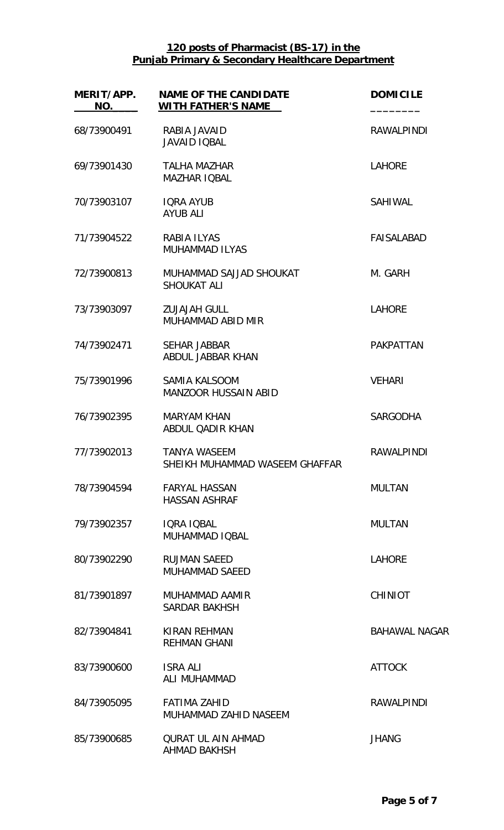| MERIT/APP.<br>NO. | <b>NAME OF THE CANDIDATE</b><br><b>WITH FATHER'S NAME</b> | <b>DOMICILE</b>      |
|-------------------|-----------------------------------------------------------|----------------------|
| 68/73900491       | RABIA JAVAID<br><b>JAVAID IQBAL</b>                       | <b>RAWALPINDI</b>    |
| 69/73901430       | <b>TALHA MAZHAR</b><br><b>MAZHAR IQBAL</b>                | <b>LAHORE</b>        |
| 70/73903107       | <b>IQRA AYUB</b><br><b>AYUB ALI</b>                       | SAHIWAL              |
| 71/73904522       | <b>RABIA ILYAS</b><br><b>MUHAMMAD ILYAS</b>               | <b>FAISALABAD</b>    |
| 72/73900813       | MUHAMMAD SAJJAD SHOUKAT<br><b>SHOUKAT ALI</b>             | M. GARH              |
| 73/73903097       | <b>ZUJAJAH GULL</b><br>MUHAMMAD ABID MIR                  | <b>LAHORE</b>        |
| 74/73902471       | <b>SEHAR JABBAR</b><br>ABDUL JABBAR KHAN                  | <b>PAKPATTAN</b>     |
| 75/73901996       | <b>SAMIA KALSOOM</b><br><b>MANZOOR HUSSAIN ABID</b>       | <b>VEHARI</b>        |
| 76/73902395       | <b>MARYAM KHAN</b><br>ABDUL QADIR KHAN                    | <b>SARGODHA</b>      |
| 77/73902013       | <b>TANYA WASEEM</b><br>SHEIKH MUHAMMAD WASEEM GHAFFAR     | <b>RAWALPINDI</b>    |
| 78/73904594       | <b>FARYAL HASSAN</b><br><b>HASSAN ASHRAF</b>              | <b>MULTAN</b>        |
| 79/73902357       | IQRA IQBAL<br>MUHAMMAD IOBAL                              | <b>MULTAN</b>        |
| 80/73902290       | <b>RUJMAN SAEED</b><br><b>MUHAMMAD SAEED</b>              | <b>LAHORE</b>        |
| 81/73901897       | MUHAMMAD AAMIR<br><b>SARDAR BAKHSH</b>                    | <b>CHINIOT</b>       |
| 82/73904841       | <b>KIRAN REHMAN</b><br><b>REHMAN GHANI</b>                | <b>BAHAWAL NAGAR</b> |
| 83/73900600       | <b>ISRA ALI</b><br>ALI MUHAMMAD                           | <b>ATTOCK</b>        |
| 84/73905095       | <b>FATIMA ZAHID</b><br>MUHAMMAD ZAHID NASEEM              | <b>RAWALPINDI</b>    |
| 85/73900685       | <b>OURAT UL AIN AHMAD</b><br><b>AHMAD BAKHSH</b>          | <b>JHANG</b>         |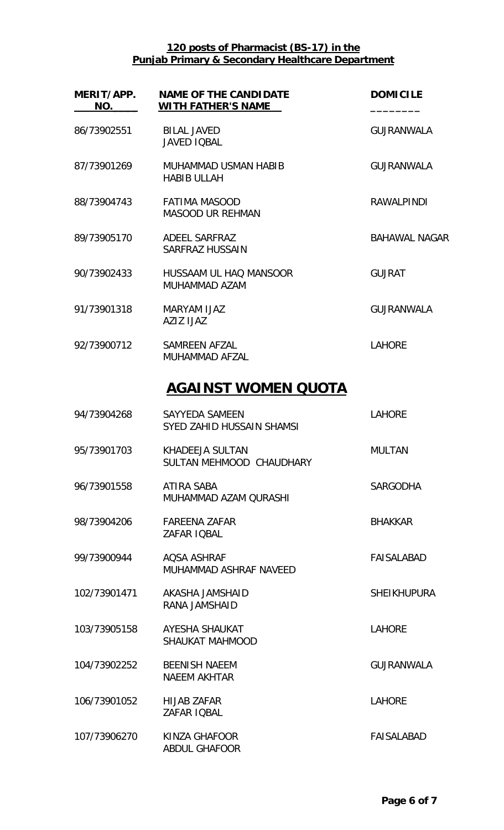| MERIT/APP.<br>NO. | <b>NAME OF THE CANDIDATE</b><br><b>WITH FATHER'S NAME</b> | <b>DOMICILE</b>      |
|-------------------|-----------------------------------------------------------|----------------------|
| 86/73902551       | <b>BILAL JAVED</b><br><b>JAVED IQBAL</b>                  | <b>GUJRANWALA</b>    |
| 87/73901269       | MUHAMMAD USMAN HABIB<br><b>HABIB ULLAH</b>                | <b>GUJRANWALA</b>    |
| 88/73904743       | <b>FATIMA MASOOD</b><br><b>MASOOD UR REHMAN</b>           | <b>RAWALPINDI</b>    |
| 89/73905170       | ADEEL SARFRAZ<br><b>SARFRAZ HUSSAIN</b>                   | <b>BAHAWAL NAGAR</b> |
| 90/73902433       | HUSSAAM UL HAO MANSOOR<br>MUHAMMAD AZAM                   | <b>GUJRAT</b>        |
| 91/73901318       | MARYAM IJAZ<br>AZIZ IJAZ                                  | <b>GUJRANWALA</b>    |
| 92/73900712       | SAMREEN AFZAL<br><b>MUHAMMAD AFZAL</b>                    | <b>LAHORE</b>        |
|                   | <u>AGAINST WOMEN QUOTA</u>                                |                      |
| 94/73904268       | <b>SAYYEDA SAMEEN</b><br>SYED ZAHID HUSSAIN SHAMSI        | <b>LAHORE</b>        |
| 95/73901703       | KHADEEJA SULTAN<br>SULTAN MEHMOOD CHAUDHARY               | <b>MULTAN</b>        |
| 96/73901558       | ATIRA SABA<br>MUHAMMAD AZAM QURASHI                       | <b>SARGODHA</b>      |
| 98/73904206       | <b>FAREENA ZAFAR</b><br>ZAFAR IOBAL                       | <b>BHAKKAR</b>       |
| 99/73900944       | AOSA ASHRAF<br>MUHAMMAD ASHRAF NAVEED                     | <b>FAISALABAD</b>    |
| 102/73901471      | AKASHA JAMSHAID<br>RANA JAMSHAID                          | <b>SHEIKHUPURA</b>   |
| 103/73905158      | AYESHA SHAUKAT<br><b>SHAUKAT MAHMOOD</b>                  | <b>LAHORE</b>        |
| 104/73902252      | <b>BEENISH NAEEM</b><br><b>NAEEM AKHTAR</b>               | <b>GUJRANWALA</b>    |
| 106/73901052      | <b>HIJAB ZAFAR</b><br>ZAFAR IQBAL                         | <b>LAHORE</b>        |
| 107/73906270      | KINZA GHAFOOR<br><b>ABDUL GHAFOOR</b>                     | <b>FAISALABAD</b>    |